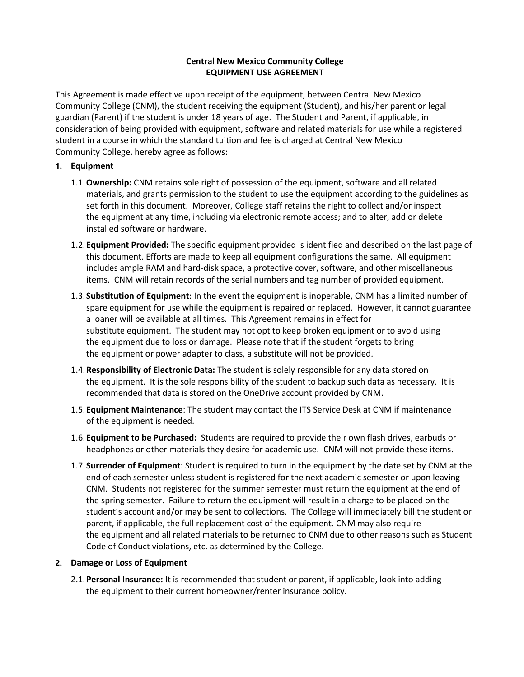### **Central New Mexico Community College EQUIPMENT USE AGREEMENT**

This Agreement is made effective upon receipt of the equipment, between Central New Mexico Community College (CNM), the student receiving the equipment (Student), and his/her parent or legal guardian (Parent) if the student is under 18 years of age. The Student and Parent, if applicable, in consideration of being provided with equipment, software and related materials for use while a registered student in a course in which the standard tuition and fee is charged at Central New Mexico Community College, hereby agree as follows:

### **1. Equipment**

- 1.1.**Ownership:** CNM retains sole right of possession of the equipment, software and all related materials, and grants permission to the student to use the equipment according to the guidelines as set forth in this document. Moreover, College staff retains the right to collect and/or inspect the equipment at any time, including via electronic remote access; and to alter, add or delete installed software or hardware.
- 1.2.**Equipment Provided:** The specific equipment provided is identified and described on the last page of this document. Efforts are made to keep all equipment configurations the same. All equipment includes ample RAM and hard‐disk space, a protective cover, software, and other miscellaneous items. CNM will retain records of the serial numbers and tag number of provided equipment.
- 1.3.**Substitution of Equipment**: In the event the equipment is inoperable, CNM has a limited number of spare equipment for use while the equipment is repaired or replaced. However, it cannot guarantee a loaner will be available at all times. This Agreement remains in effect for substitute equipment. The student may not opt to keep broken equipment or to avoid using the equipment due to loss or damage. Please note that if the student forgets to bring the equipment or power adapter to class, a substitute will not be provided.
- 1.4.**Responsibility of Electronic Data:** The student is solely responsible for any data stored on the equipment. It is the sole responsibility of the student to backup such data as necessary. It is recommended that data is stored on the OneDrive account provided by CNM.
- 1.5.**Equipment Maintenance**: The student may contact the ITS Service Desk at CNM if maintenance of the equipment is needed.
- 1.6.**Equipment to be Purchased:** Students are required to provide their own flash drives, earbuds or headphones or other materials they desire for academic use. CNM will not provide these items.
- 1.7.**Surrender of Equipment**: Student is required to turn in the equipment by the date set by CNM at the end of each semester unless student is registered for the next academic semester or upon leaving CNM. Students not registered for the summer semester must return the equipment at the end of the spring semester. Failure to return the equipment will result in a charge to be placed on the student's account and/or may be sent to collections. The College will immediately bill the student or parent, if applicable, the full replacement cost of the equipment. CNM may also require the equipment and all related materials to be returned to CNM due to other reasons such as Student Code of Conduct violations, etc. as determined by the College.

#### **2. Damage or Loss of Equipment**

2.1.**Personal Insurance:** It is recommended that student or parent, if applicable, look into adding the equipment to their current homeowner/renter insurance policy.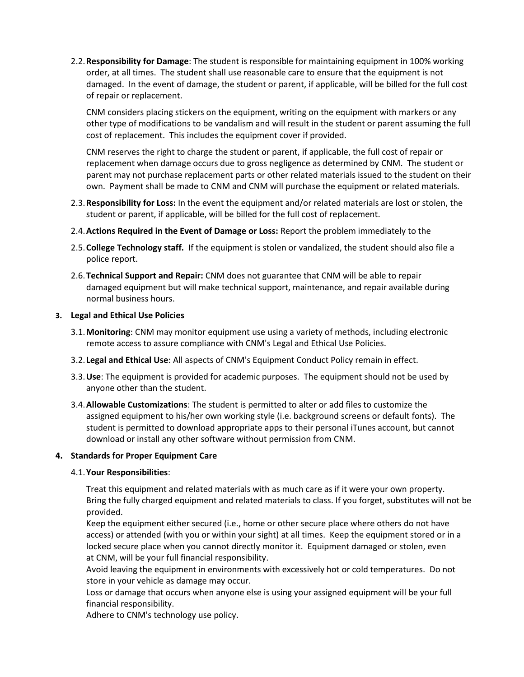2.2.**Responsibility for Damage**: The student is responsible for maintaining equipment in 100% working order, at all times. The student shall use reasonable care to ensure that the equipment is not damaged. In the event of damage, the student or parent, if applicable, will be billed for the full cost of repair or replacement.

CNM considers placing stickers on the equipment, writing on the equipment with markers or any other type of modifications to be vandalism and will result in the student or parent assuming the full cost of replacement. This includes the equipment cover if provided.

CNM reserves the right to charge the student or parent, if applicable, the full cost of repair or replacement when damage occurs due to gross negligence as determined by CNM. The student or parent may not purchase replacement parts or other related materials issued to the student on their own. Payment shall be made to CNM and CNM will purchase the equipment or related materials.

- 2.3.**Responsibility for Loss:** In the event the equipment and/or related materials are lost or stolen, the student or parent, if applicable, will be billed for the full cost of replacement.
- 2.4.**Actions Required in the Event of Damage or Loss:** Report the problem immediately to the
- 2.5.**College Technology staff.** If the equipment is stolen or vandalized, the student should also file a police report.
- 2.6.**Technical Support and Repair:** CNM does not guarantee that CNM will be able to repair damaged equipment but will make technical support, maintenance, and repair available during normal business hours.

#### **3. Legal and Ethical Use Policies**

- 3.1.**Monitoring**: CNM may monitor equipment use using a variety of methods, including electronic remote access to assure compliance with CNM's Legal and Ethical Use Policies.
- 3.2. **Legal and Ethical Use**: All aspects of CNM's Equipment Conduct Policy remain in effect.
- 3.3.**Use**: The equipment is provided for academic purposes. The equipment should not be used by anyone other than the student.
- 3.4.**Allowable Customizations**: The student is permitted to alter or add files to customize the assigned equipment to his/her own working style (i.e. background screens or default fonts). The student is permitted to download appropriate apps to their personal iTunes account, but cannot download or install any other software without permission from CNM.

# **4. Standards for Proper Equipment Care**

#### 4.1.**Your Responsibilities**:

Treat this equipment and related materials with as much care as if it were your own property. Bring the fully charged equipment and related materials to class. If you forget, substitutes will not be provided.

Keep the equipment either secured (i.e., home or other secure place where others do not have access) or attended (with you or within your sight) at all times. Keep the equipment stored or in a locked secure place when you cannot directly monitor it. Equipment damaged or stolen, even at CNM, will be your full financial responsibility.

Avoid leaving the equipment in environments with excessively hot or cold temperatures. Do not store in your vehicle as damage may occur.

Loss or damage that occurs when anyone else is using your assigned equipment will be your full financial responsibility.

Adhere to CNM's technology use policy.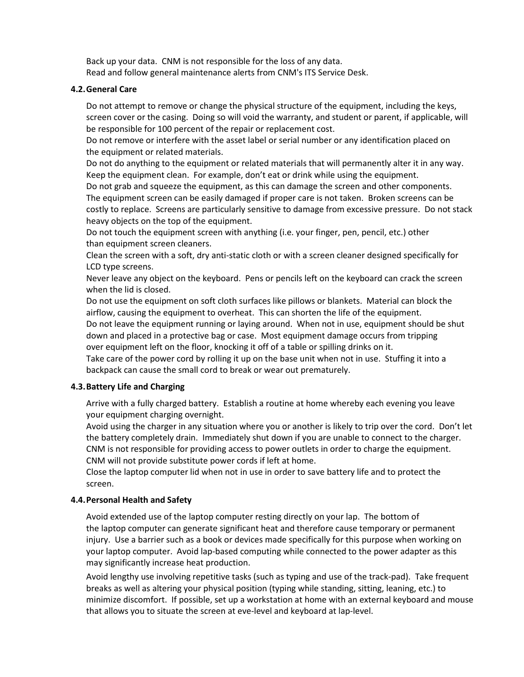Back up your data. CNM is not responsible for the loss of any data. Read and follow general maintenance alerts from CNM's ITS Service Desk.

### **4.2.General Care**

Do not attempt to remove or change the physical structure of the equipment, including the keys, screen cover or the casing. Doing so will void the warranty, and student or parent, if applicable, will be responsible for 100 percent of the repair or replacement cost.

Do not remove or interfere with the asset label or serial number or any identification placed on the equipment or related materials.

Do not do anything to the equipment or related materials that will permanently alter it in any way. Keep the equipment clean. For example, don't eat or drink while using the equipment.

Do not grab and squeeze the equipment, as this can damage the screen and other components. The equipment screen can be easily damaged if proper care is not taken. Broken screens can be costly to replace. Screens are particularly sensitive to damage from excessive pressure. Do not stack heavy objects on the top of the equipment.

Do not touch the equipment screen with anything (i.e. your finger, pen, pencil, etc.) other than equipment screen cleaners.

Clean the screen with a soft, dry anti‐static cloth or with a screen cleaner designed specifically for LCD type screens.

Never leave any object on the keyboard. Pens or pencils left on the keyboard can crack the screen when the lid is closed.

Do not use the equipment on soft cloth surfaces like pillows or blankets. Material can block the airflow, causing the equipment to overheat. This can shorten the life of the equipment. Do not leave the equipment running or laying around. When not in use, equipment should be shut down and placed in a protective bag or case. Most equipment damage occurs from tripping over equipment left on the floor, knocking it off of a table or spilling drinks on it.

Take care of the power cord by rolling it up on the base unit when not in use. Stuffing it into a backpack can cause the small cord to break or wear out prematurely.

# **4.3.Battery Life and Charging**

Arrive with a fully charged battery. Establish a routine at home whereby each evening you leave your equipment charging overnight.

Avoid using the charger in any situation where you or another is likely to trip over the cord. Don't let the battery completely drain. Immediately shut down if you are unable to connect to the charger. CNM is not responsible for providing access to power outlets in order to charge the equipment. CNM will not provide substitute power cords if left at home.

Close the laptop computer lid when not in use in order to save battery life and to protect the screen.

# **4.4.Personal Health and Safety**

Avoid extended use of the laptop computer resting directly on your lap. The bottom of the laptop computer can generate significant heat and therefore cause temporary or permanent injury. Use a barrier such as a book or devices made specifically for this purpose when working on your laptop computer. Avoid lap-based computing while connected to the power adapter as this may significantly increase heat production.

Avoid lengthy use involving repetitive tasks (such as typing and use of the track‐pad). Take frequent breaks as well as altering your physical position (typing while standing, sitting, leaning, etc.) to minimize discomfort. If possible, set up a workstation at home with an external keyboard and mouse that allows you to situate the screen at eve‐level and keyboard at lap‐level.